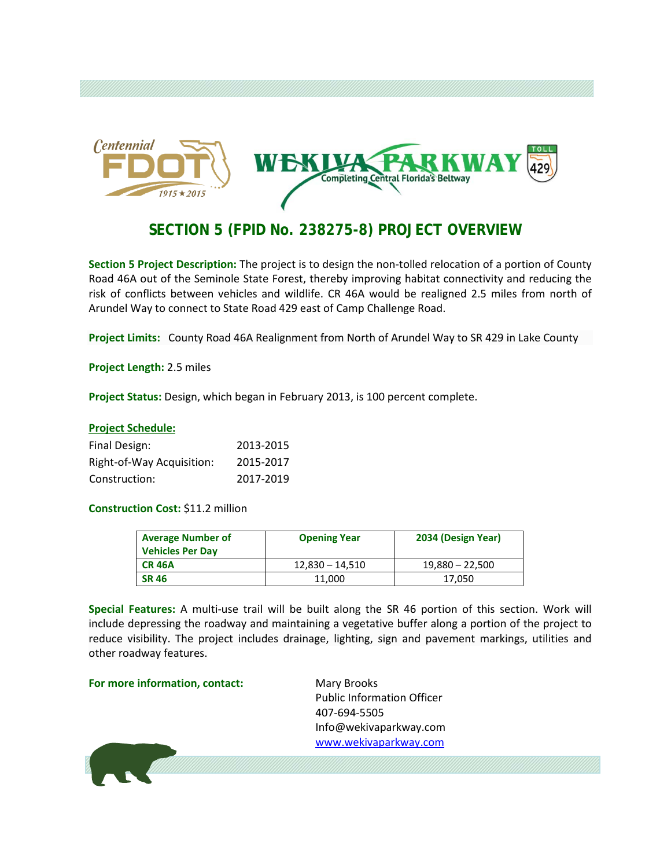

## **SECTION 5 (FPID No. 238275-8) PROJECT OVERVIEW**

**Section 5 Project Description:** The project is to design the non-tolled relocation of a portion of County Road 46A out of the Seminole State Forest, thereby improving habitat connectivity and reducing the risk of conflicts between vehicles and wildlife. CR 46A would be realigned 2.5 miles from north of Arundel Way to connect to State Road 429 east of Camp Challenge Road.

**Project Limits:** County Road 46A Realignment from North of Arundel Way to SR 429 in Lake County

**Project Length:** 2.5 miles

**Project Status:** Design, which began in February 2013, is 100 percent complete.

### **Project Schedule:** Final Design: 2013-2015 Right-of-Way Acquisition: 2015-2017 Construction: 2017-2019

### **Construction Cost:** \$11.2 million

| <b>Average Number of</b><br><b>Vehicles Per Day</b> | <b>Opening Year</b> | 2034 (Design Year) |
|-----------------------------------------------------|---------------------|--------------------|
| <b>CR 46A</b>                                       | $12,830 - 14,510$   | $19,880 - 22,500$  |
| <b>SR 46</b>                                        | 11,000              | 17,050             |

**Special Features:** A multi-use trail will be built along the SR 46 portion of this section. Work will include depressing the roadway and maintaining a vegetative buffer along a portion of the project to reduce visibility. The project includes drainage, lighting, sign and pavement markings, utilities and other roadway features.

**For more information, contact:** Mary Brooks

Public Information Officer 407-694-5505 Info@wekivaparkway.com [www.wekivaparkway.com](http://www.wekivaparkway.com/)